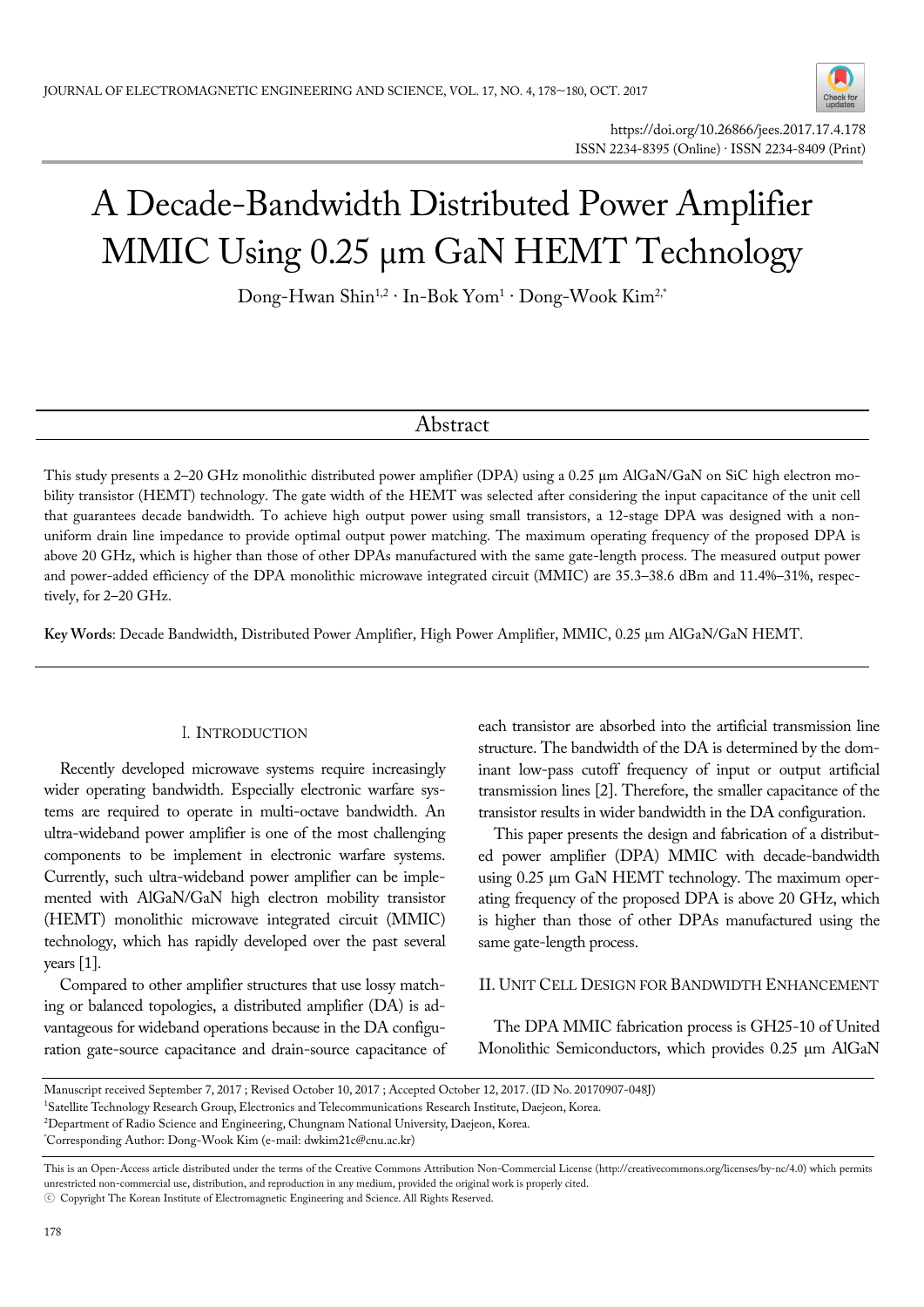

# A Decade-Bandwidth Distributed Power Amplifier MMIC Using 0.25 μm GaN HEMT Technology

Dong-Hwan Shin<sup>1,2 .</sup> In-Bok Yom<sup>1 .</sup> Dong-Wook Kim<sup>2,\*</sup>

## Abstract

This study presents a 2–20 GHz monolithic distributed power amplifier (DPA) using a 0.25 μm AlGaN/GaN on SiC high electron mobility transistor (HEMT) technology. The gate width of the HEMT was selected after considering the input capacitance of the unit cell that guarantees decade bandwidth. To achieve high output power using small transistors, a 12-stage DPA was designed with a nonuniform drain line impedance to provide optimal output power matching. The maximum operating frequency of the proposed DPA is above 20 GHz, which is higher than those of other DPAs manufactured with the same gate-length process. The measured output power and power-added efficiency of the DPA monolithic microwave integrated circuit (MMIC) are 35.3–38.6 dBm and 11.4%–31%, respectively, for 2–20 GHz.

**Key Words**: Decade Bandwidth, Distributed Power Amplifier, High Power Amplifier, MMIC, 0.25 μm AlGaN/GaN HEMT.

### I. INTRODUCTION

Recently developed microwave systems require increasingly wider operating bandwidth. Especially electronic warfare systems are required to operate in multi-octave bandwidth. An ultra-wideband power amplifier is one of the most challenging components to be implement in electronic warfare systems. Currently, such ultra-wideband power amplifier can be implemented with AlGaN/GaN high electron mobility transistor (HEMT) monolithic microwave integrated circuit (MMIC) technology, which has rapidly developed over the past several years [1].

Compared to other amplifier structures that use lossy matching or balanced topologies, a distributed amplifier (DA) is advantageous for wideband operations because in the DA configuration gate-source capacitance and drain-source capacitance of each transistor are absorbed into the artificial transmission line structure. The bandwidth of the DA is determined by the dominant low-pass cutoff frequency of input or output artificial transmission lines [2]. Therefore, the smaller capacitance of the transistor results in wider bandwidth in the DA configuration.

This paper presents the design and fabrication of a distributed power amplifier (DPA) MMIC with decade-bandwidth using 0.25 μm GaN HEMT technology. The maximum operating frequency of the proposed DPA is above 20 GHz, which is higher than those of other DPAs manufactured using the same gate-length process.

#### II. UNIT CELL DESIGN FOR BANDWIDTH ENHANCEMENT

The DPA MMIC fabrication process is GH25-10 of United Monolithic Semiconductors, which provides 0.25 μm AlGaN

Manuscript received September 7, 2017 ; Revised October 10, 2017 ; Accepted October 12, 2017. (ID No. 20170907-048J)

<sup>&</sup>lt;sup>1</sup>Satellite Technology Research Group, Electronics and Telecommunications Research Institute, Daejeon, Korea.<br><sup>2</sup>Department of Radio Science and Engineering, Chungnam National University Daejeon, Korea.

<sup>&</sup>lt;sup>2</sup>Department of Radio Science and Engineering, Chungnam National University, Daejeon, Korea.

Corresponding Author: Dong-Wook Kim (e-mail: dwkim21c@cnu.ac.kr)

This is an Open-Access article distributed under the terms of the Creative Commons Attribution Non-Commercial License (http://creativecommons.org/licenses/by-nc/4.0) which permits unrestricted non-commercial use, distribution, and reproduction in any medium, provided the original work is properly cited.

<sup>ⓒ</sup> Copyright The Korean Institute of Electromagnetic Engineering and Science. All Rights Reserved.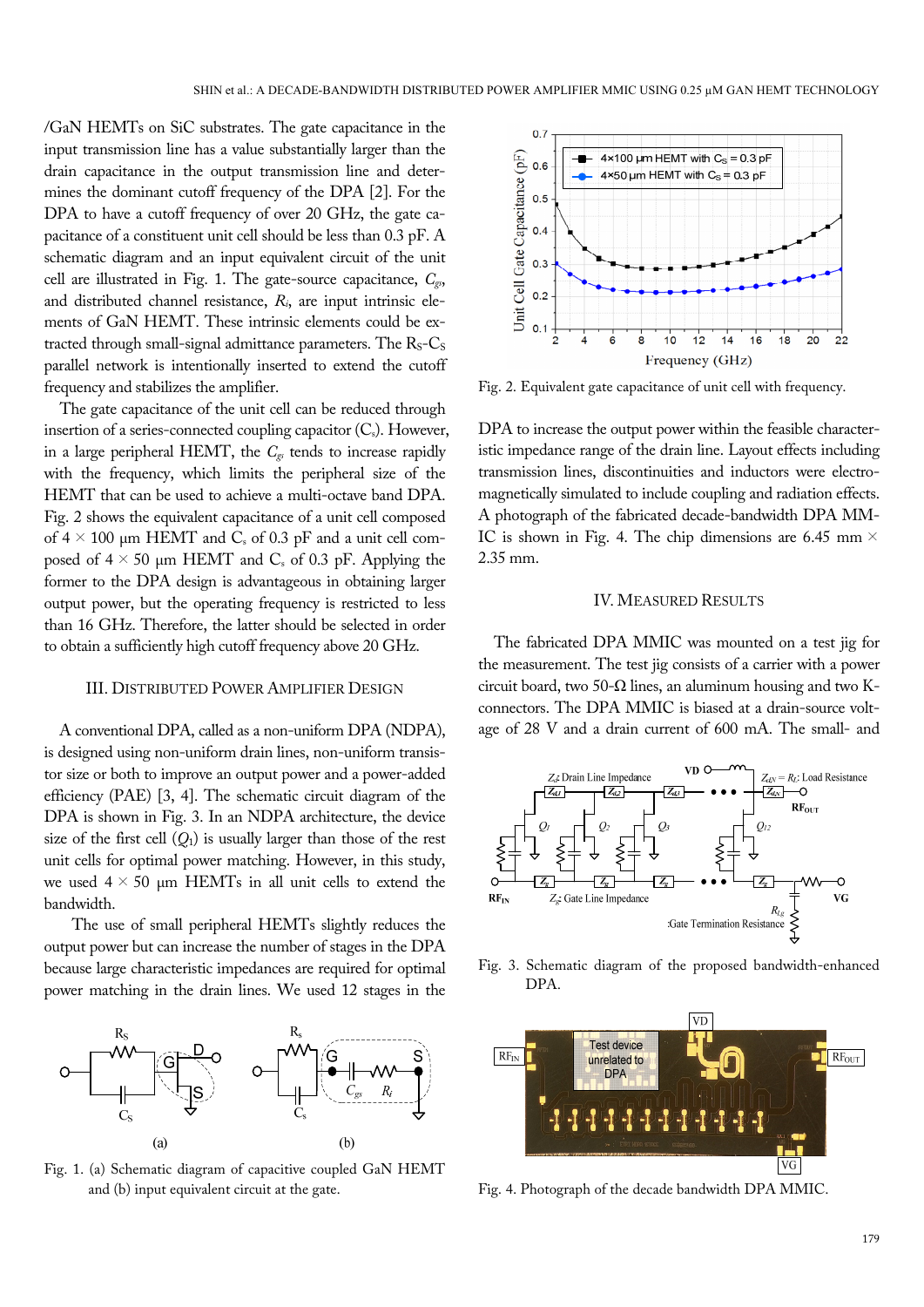/GaN HEMTs on SiC substrates. The gate capacitance in the input transmission line has a value substantially larger than the drain capacitance in the output transmission line and determines the dominant cutoff frequency of the DPA [2]. For the DPA to have a cutoff frequency of over 20 GHz, the gate capacitance of a constituent unit cell should be less than 0.3 pF. A schematic diagram and an input equivalent circuit of the unit cell are illustrated in Fig. 1. The gate-source capacitance, *Cgs*, and distributed channel resistance, *Ri*, are input intrinsic elements of GaN HEMT. These intrinsic elements could be extracted through small-signal admittance parameters. The  $R_S-C_S$ parallel network is intentionally inserted to extend the cutoff frequency and stabilizes the amplifier.

The gate capacitance of the unit cell can be reduced through insertion of a series-connected coupling capacitor  $(C_s)$ . However, in a large peripheral HEMT, the *Cgs* tends to increase rapidly with the frequency, which limits the peripheral size of the HEMT that can be used to achieve a multi-octave band DPA. Fig. 2 shows the equivalent capacitance of a unit cell composed of  $4 \times 100$  µm HEMT and C<sub>s</sub> of 0.3 pF and a unit cell composed of  $4 \times 50$  µm HEMT and C<sub>s</sub> of 0.3 pF. Applying the former to the DPA design is advantageous in obtaining larger output power, but the operating frequency is restricted to less than 16 GHz. Therefore, the latter should be selected in order to obtain a sufficiently high cutoff frequency above 20 GHz.

#### III. DISTRIBUTED POWER AMPLIFIER DESIGN

A conventional DPA, called as a non-uniform DPA (NDPA), is designed using non-uniform drain lines, non-uniform transistor size or both to improve an output power and a power-added efficiency (PAE) [3, 4]. The schematic circuit diagram of the DPA is shown in Fig. 3. In an NDPA architecture, the device size of the first cell  $(Q_1)$  is usually larger than those of the rest unit cells for optimal power matching. However, in this study, we used  $4 \times 50$  µm HEMTs in all unit cells to extend the bandwidth.

The use of small peripheral HEMTs slightly reduces the output power but can increase the number of stages in the DPA because large characteristic impedances are required for optimal power matching in the drain lines. We used 12 stages in the



Fig. 1. (a) Schematic diagram of capacitive coupled GaN HEMT and (b) input equivalent circuit at the gate.



Fig. 2. Equivalent gate capacitance of unit cell with frequency.

DPA to increase the output power within the feasible characteristic impedance range of the drain line. Layout effects including transmission lines, discontinuities and inductors were electromagnetically simulated to include coupling and radiation effects. A photograph of the fabricated decade-bandwidth DPA MM-IC is shown in Fig. 4. The chip dimensions are 6.45 mm  $\times$ 2.35 mm.

#### IV. MEASURED RESULTS

The fabricated DPA MMIC was mounted on a test jig for the measurement. The test jig consists of a carrier with a power circuit board, two 50- $\Omega$  lines, an aluminum housing and two Kconnectors. The DPA MMIC is biased at a drain-source voltage of 28 V and a drain current of 600 mA. The small- and



Fig. 3. Schematic diagram of the proposed bandwidth-enhanced DPA.



Fig. 4. Photograph of the decade bandwidth DPA MMIC.